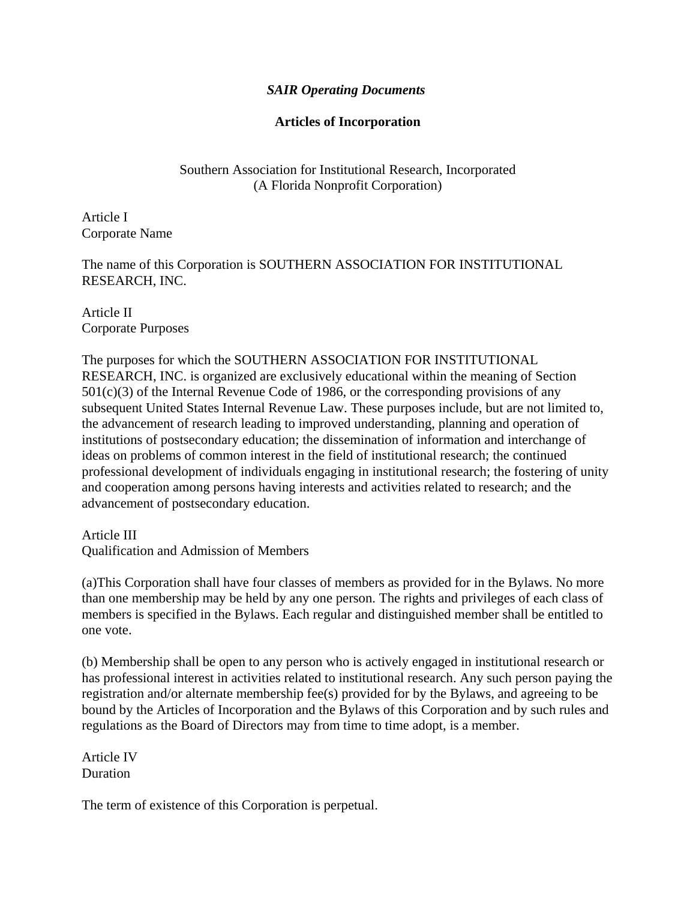## *SAIR Operating Documents*

# **Articles of Incorporation**

Southern Association for Institutional Research, Incorporated (A Florida Nonprofit Corporation)

Article I Corporate Name

The name of this Corporation is SOUTHERN ASSOCIATION FOR INSTITUTIONAL RESEARCH, INC.

Article II Corporate Purposes

The purposes for which the SOUTHERN ASSOCIATION FOR INSTITUTIONAL RESEARCH, INC. is organized are exclusively educational within the meaning of Section  $501(c)(3)$  of the Internal Revenue Code of 1986, or the corresponding provisions of any subsequent United States Internal Revenue Law. These purposes include, but are not limited to, the advancement of research leading to improved understanding, planning and operation of institutions of postsecondary education; the dissemination of information and interchange of ideas on problems of common interest in the field of institutional research; the continued professional development of individuals engaging in institutional research; the fostering of unity and cooperation among persons having interests and activities related to research; and the advancement of postsecondary education.

Article III Qualification and Admission of Members

(a)This Corporation shall have four classes of members as provided for in the Bylaws. No more than one membership may be held by any one person. The rights and privileges of each class of members is specified in the Bylaws. Each regular and distinguished member shall be entitled to one vote.

(b) Membership shall be open to any person who is actively engaged in institutional research or has professional interest in activities related to institutional research. Any such person paying the registration and/or alternate membership fee(s) provided for by the Bylaws, and agreeing to be bound by the Articles of Incorporation and the Bylaws of this Corporation and by such rules and regulations as the Board of Directors may from time to time adopt, is a member.

Article IV Duration

The term of existence of this Corporation is perpetual.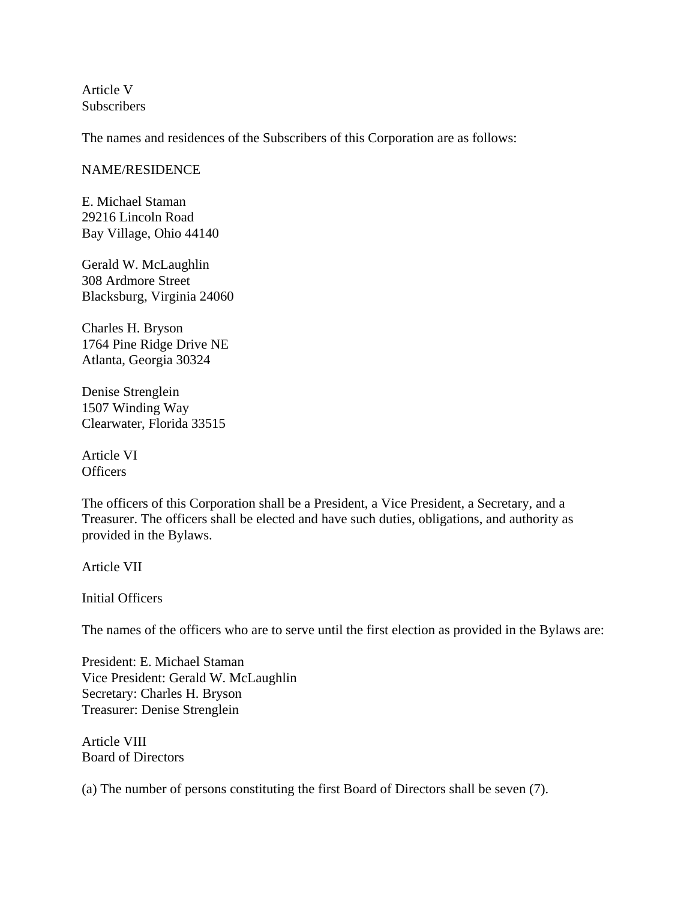Article V **Subscribers** 

The names and residences of the Subscribers of this Corporation are as follows:

#### NAME/RESIDENCE

E. Michael Staman 29216 Lincoln Road Bay Village, Ohio 44140

Gerald W. McLaughlin 308 Ardmore Street Blacksburg, Virginia 24060

Charles H. Bryson 1764 Pine Ridge Drive NE Atlanta, Georgia 30324

Denise Strenglein 1507 Winding Way Clearwater, Florida 33515

Article VI **Officers** 

The officers of this Corporation shall be a President, a Vice President, a Secretary, and a Treasurer. The officers shall be elected and have such duties, obligations, and authority as provided in the Bylaws.

Article VII

Initial Officers

The names of the officers who are to serve until the first election as provided in the Bylaws are:

President: E. Michael Staman Vice President: Gerald W. McLaughlin Secretary: Charles H. Bryson Treasurer: Denise Strenglein

Article VIII Board of Directors

(a) The number of persons constituting the first Board of Directors shall be seven (7).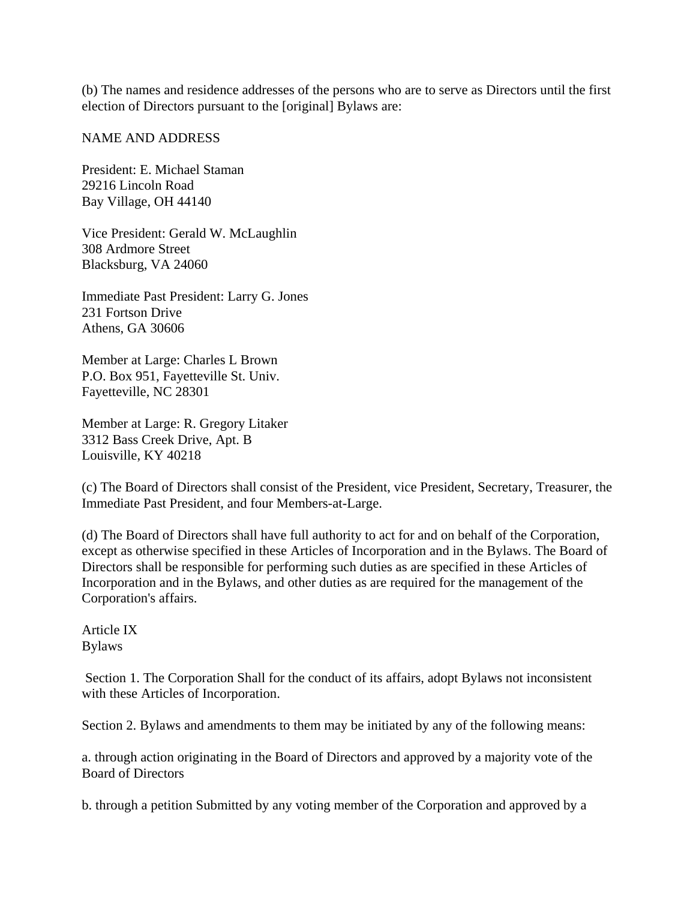(b) The names and residence addresses of the persons who are to serve as Directors until the first election of Directors pursuant to the [original] Bylaws are:

## NAME AND ADDRESS

President: E. Michael Staman 29216 Lincoln Road Bay Village, OH 44140

Vice President: Gerald W. McLaughlin 308 Ardmore Street Blacksburg, VA 24060

Immediate Past President: Larry G. Jones 231 Fortson Drive Athens, GA 30606

Member at Large: Charles L Brown P.O. Box 951, Fayetteville St. Univ. Fayetteville, NC 28301

Member at Large: R. Gregory Litaker 3312 Bass Creek Drive, Apt. B Louisville, KY 40218

(c) The Board of Directors shall consist of the President, vice President, Secretary, Treasurer, the Immediate Past President, and four Members-at-Large.

(d) The Board of Directors shall have full authority to act for and on behalf of the Corporation, except as otherwise specified in these Articles of Incorporation and in the Bylaws. The Board of Directors shall be responsible for performing such duties as are specified in these Articles of Incorporation and in the Bylaws, and other duties as are required for the management of the Corporation's affairs.

Article IX Bylaws

 Section 1. The Corporation Shall for the conduct of its affairs, adopt Bylaws not inconsistent with these Articles of Incorporation.

Section 2. Bylaws and amendments to them may be initiated by any of the following means:

a. through action originating in the Board of Directors and approved by a majority vote of the Board of Directors

b. through a petition Submitted by any voting member of the Corporation and approved by a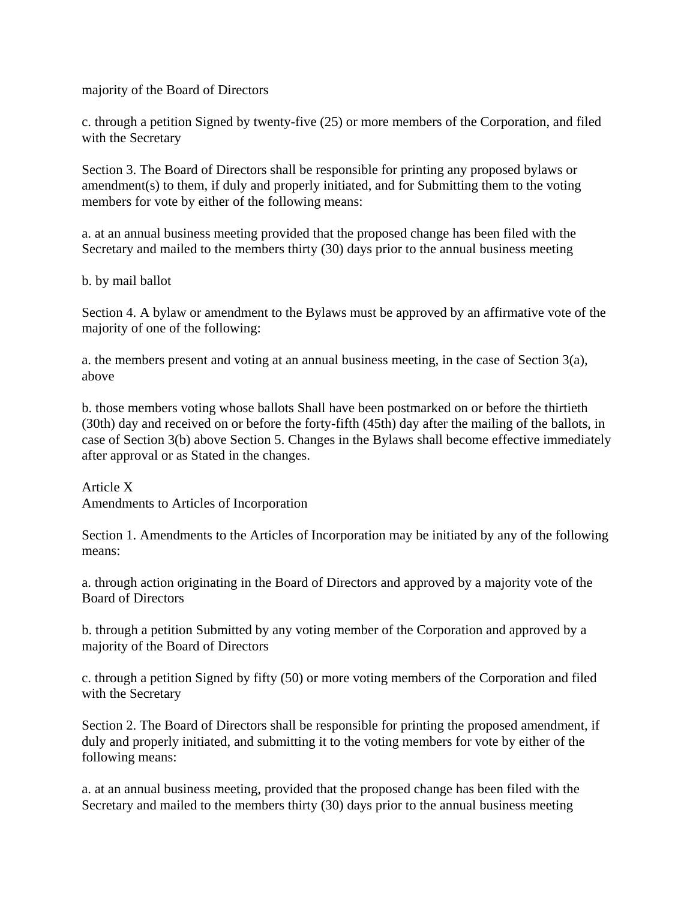majority of the Board of Directors

c. through a petition Signed by twenty-five (25) or more members of the Corporation, and filed with the Secretary

Section 3. The Board of Directors shall be responsible for printing any proposed bylaws or amendment(s) to them, if duly and properly initiated, and for Submitting them to the voting members for vote by either of the following means:

a. at an annual business meeting provided that the proposed change has been filed with the Secretary and mailed to the members thirty (30) days prior to the annual business meeting

b. by mail ballot

Section 4. A bylaw or amendment to the Bylaws must be approved by an affirmative vote of the majority of one of the following:

a. the members present and voting at an annual business meeting, in the case of Section  $3(a)$ , above

b. those members voting whose ballots Shall have been postmarked on or before the thirtieth (30th) day and received on or before the forty-fifth (45th) day after the mailing of the ballots, in case of Section 3(b) above Section 5. Changes in the Bylaws shall become effective immediately after approval or as Stated in the changes.

Article X Amendments to Articles of Incorporation

Section 1. Amendments to the Articles of Incorporation may be initiated by any of the following means:

a. through action originating in the Board of Directors and approved by a majority vote of the Board of Directors

b. through a petition Submitted by any voting member of the Corporation and approved by a majority of the Board of Directors

c. through a petition Signed by fifty (50) or more voting members of the Corporation and filed with the Secretary

Section 2. The Board of Directors shall be responsible for printing the proposed amendment, if duly and properly initiated, and submitting it to the voting members for vote by either of the following means:

a. at an annual business meeting, provided that the proposed change has been filed with the Secretary and mailed to the members thirty (30) days prior to the annual business meeting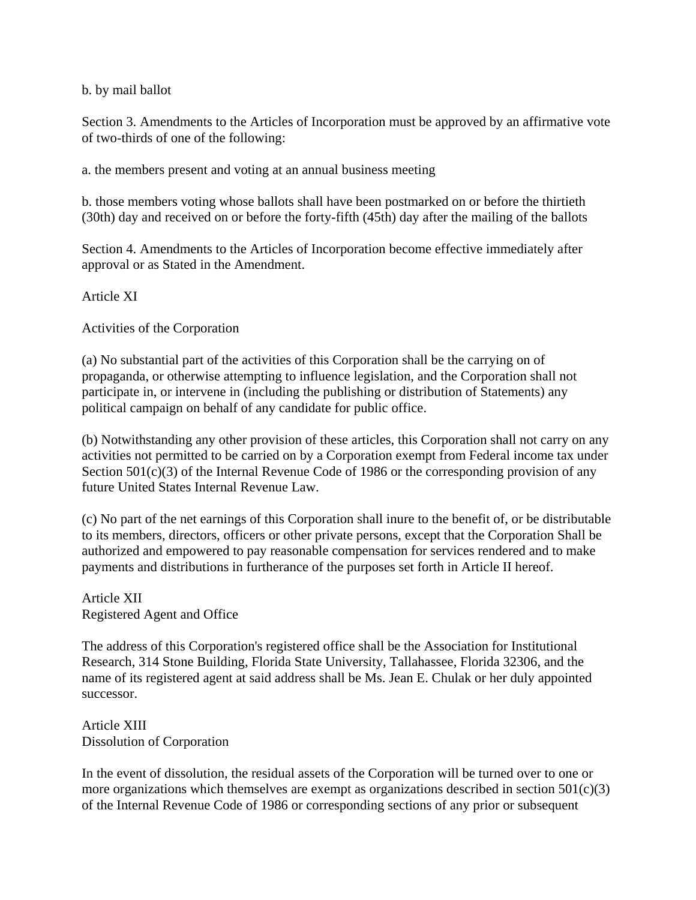## b. by mail ballot

Section 3. Amendments to the Articles of Incorporation must be approved by an affirmative vote of two-thirds of one of the following:

a. the members present and voting at an annual business meeting

b. those members voting whose ballots shall have been postmarked on or before the thirtieth (30th) day and received on or before the forty-fifth (45th) day after the mailing of the ballots

Section 4. Amendments to the Articles of Incorporation become effective immediately after approval or as Stated in the Amendment.

Article XI

Activities of the Corporation

(a) No substantial part of the activities of this Corporation shall be the carrying on of propaganda, or otherwise attempting to influence legislation, and the Corporation shall not participate in, or intervene in (including the publishing or distribution of Statements) any political campaign on behalf of any candidate for public office.

(b) Notwithstanding any other provision of these articles, this Corporation shall not carry on any activities not permitted to be carried on by a Corporation exempt from Federal income tax under Section  $501(c)(3)$  of the Internal Revenue Code of 1986 or the corresponding provision of any future United States Internal Revenue Law.

(c) No part of the net earnings of this Corporation shall inure to the benefit of, or be distributable to its members, directors, officers or other private persons, except that the Corporation Shall be authorized and empowered to pay reasonable compensation for services rendered and to make payments and distributions in furtherance of the purposes set forth in Article II hereof.

Article XII Registered Agent and Office

The address of this Corporation's registered office shall be the Association for Institutional Research, 314 Stone Building, Florida State University, Tallahassee, Florida 32306, and the name of its registered agent at said address shall be Ms. Jean E. Chulak or her duly appointed successor.

Article XIII Dissolution of Corporation

In the event of dissolution, the residual assets of the Corporation will be turned over to one or more organizations which themselves are exempt as organizations described in section  $501(c)(3)$ of the Internal Revenue Code of 1986 or corresponding sections of any prior or subsequent